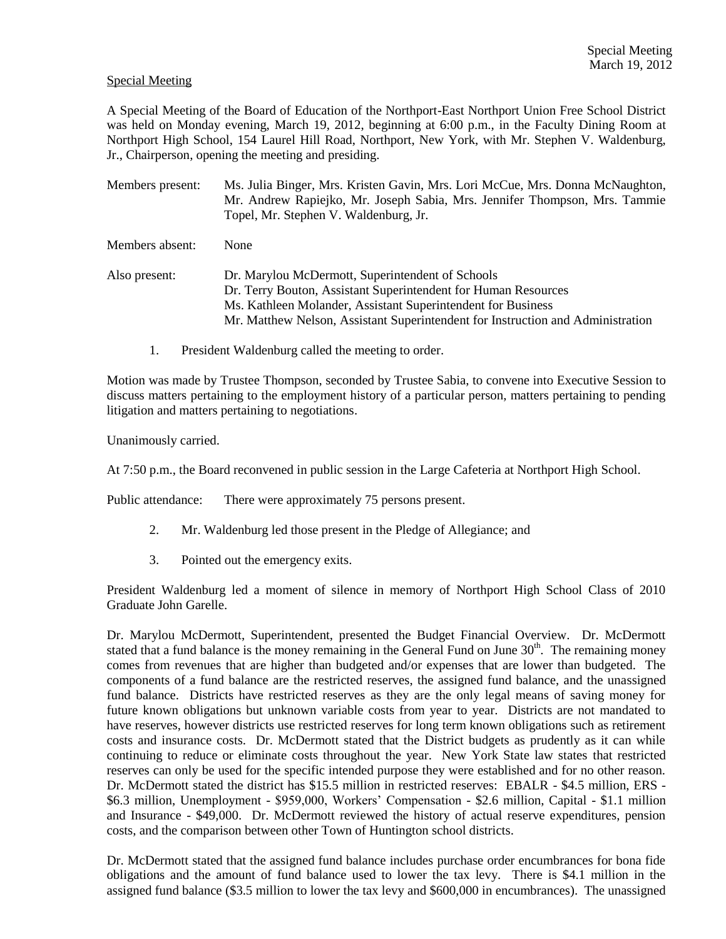## Special Meeting

A Special Meeting of the Board of Education of the Northport-East Northport Union Free School District was held on Monday evening, March 19, 2012, beginning at 6:00 p.m., in the Faculty Dining Room at Northport High School, 154 Laurel Hill Road, Northport, New York, with Mr. Stephen V. Waldenburg, Jr., Chairperson, opening the meeting and presiding.

Members present: Ms. Julia Binger, Mrs. Kristen Gavin, Mrs. Lori McCue, Mrs. Donna McNaughton, Mr. Andrew Rapiejko, Mr. Joseph Sabia, Mrs. Jennifer Thompson, Mrs. Tammie Topel, Mr. Stephen V. Waldenburg, Jr. Members absent: None Also present: Dr. Marylou McDermott, Superintendent of Schools Dr. Terry Bouton, Assistant Superintendent for Human Resources Ms. Kathleen Molander, Assistant Superintendent for Business Mr. Matthew Nelson, Assistant Superintendent for Instruction and Administration

1. President Waldenburg called the meeting to order.

Motion was made by Trustee Thompson, seconded by Trustee Sabia, to convene into Executive Session to discuss matters pertaining to the employment history of a particular person, matters pertaining to pending litigation and matters pertaining to negotiations.

Unanimously carried.

At 7:50 p.m., the Board reconvened in public session in the Large Cafeteria at Northport High School.

Public attendance: There were approximately 75 persons present.

- 2. Mr. Waldenburg led those present in the Pledge of Allegiance; and
- 3. Pointed out the emergency exits.

President Waldenburg led a moment of silence in memory of Northport High School Class of 2010 Graduate John Garelle.

Dr. Marylou McDermott, Superintendent, presented the Budget Financial Overview. Dr. McDermott stated that a fund balance is the money remaining in the General Fund on June  $30<sup>th</sup>$ . The remaining money comes from revenues that are higher than budgeted and/or expenses that are lower than budgeted. The components of a fund balance are the restricted reserves, the assigned fund balance, and the unassigned fund balance. Districts have restricted reserves as they are the only legal means of saving money for future known obligations but unknown variable costs from year to year. Districts are not mandated to have reserves, however districts use restricted reserves for long term known obligations such as retirement costs and insurance costs. Dr. McDermott stated that the District budgets as prudently as it can while continuing to reduce or eliminate costs throughout the year. New York State law states that restricted reserves can only be used for the specific intended purpose they were established and for no other reason. Dr. McDermott stated the district has \$15.5 million in restricted reserves: EBALR - \$4.5 million, ERS - \$6.3 million, Unemployment - \$959,000, Workers' Compensation - \$2.6 million, Capital - \$1.1 million and Insurance - \$49,000. Dr. McDermott reviewed the history of actual reserve expenditures, pension costs, and the comparison between other Town of Huntington school districts.

Dr. McDermott stated that the assigned fund balance includes purchase order encumbrances for bona fide obligations and the amount of fund balance used to lower the tax levy. There is \$4.1 million in the assigned fund balance (\$3.5 million to lower the tax levy and \$600,000 in encumbrances). The unassigned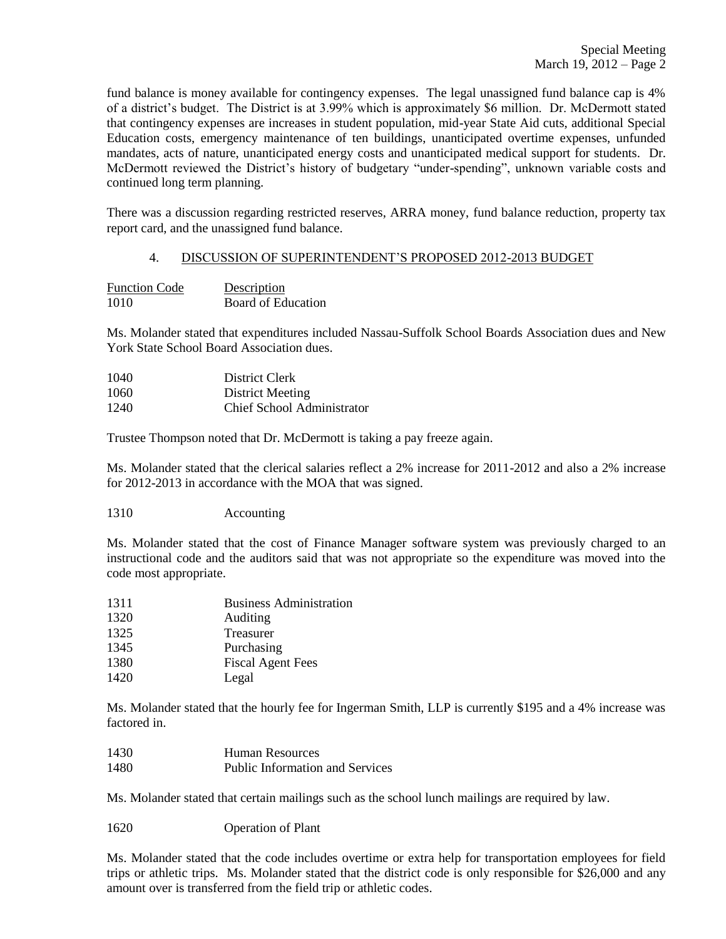fund balance is money available for contingency expenses. The legal unassigned fund balance cap is 4% of a district's budget. The District is at 3.99% which is approximately \$6 million. Dr. McDermott stated that contingency expenses are increases in student population, mid-year State Aid cuts, additional Special Education costs, emergency maintenance of ten buildings, unanticipated overtime expenses, unfunded mandates, acts of nature, unanticipated energy costs and unanticipated medical support for students. Dr. McDermott reviewed the District's history of budgetary "under-spending", unknown variable costs and continued long term planning.

There was a discussion regarding restricted reserves, ARRA money, fund balance reduction, property tax report card, and the unassigned fund balance.

## 4. DISCUSSION OF SUPERINTENDENT'S PROPOSED 2012-2013 BUDGET

| <b>Function Code</b> | Description        |
|----------------------|--------------------|
| 1010                 | Board of Education |

Ms. Molander stated that expenditures included Nassau-Suffolk School Boards Association dues and New York State School Board Association dues.

| 1040 | District Clerk             |
|------|----------------------------|
| 1060 | District Meeting           |
| 1240 | Chief School Administrator |

Trustee Thompson noted that Dr. McDermott is taking a pay freeze again.

Ms. Molander stated that the clerical salaries reflect a 2% increase for 2011-2012 and also a 2% increase for 2012-2013 in accordance with the MOA that was signed.

1310 Accounting

Ms. Molander stated that the cost of Finance Manager software system was previously charged to an instructional code and the auditors said that was not appropriate so the expenditure was moved into the code most appropriate.

| 1311 | <b>Business Administration</b> |
|------|--------------------------------|
| 1320 | Auditing                       |
| 1325 | Treasurer                      |
| 1345 | Purchasing                     |
| 1380 | <b>Fiscal Agent Fees</b>       |
| 1420 | Legal                          |
|      |                                |

Ms. Molander stated that the hourly fee for Ingerman Smith, LLP is currently \$195 and a 4% increase was factored in.

| 1430 | Human Resources                 |
|------|---------------------------------|
| 1480 | Public Information and Services |

Ms. Molander stated that certain mailings such as the school lunch mailings are required by law.

1620 Operation of Plant

Ms. Molander stated that the code includes overtime or extra help for transportation employees for field trips or athletic trips. Ms. Molander stated that the district code is only responsible for \$26,000 and any amount over is transferred from the field trip or athletic codes.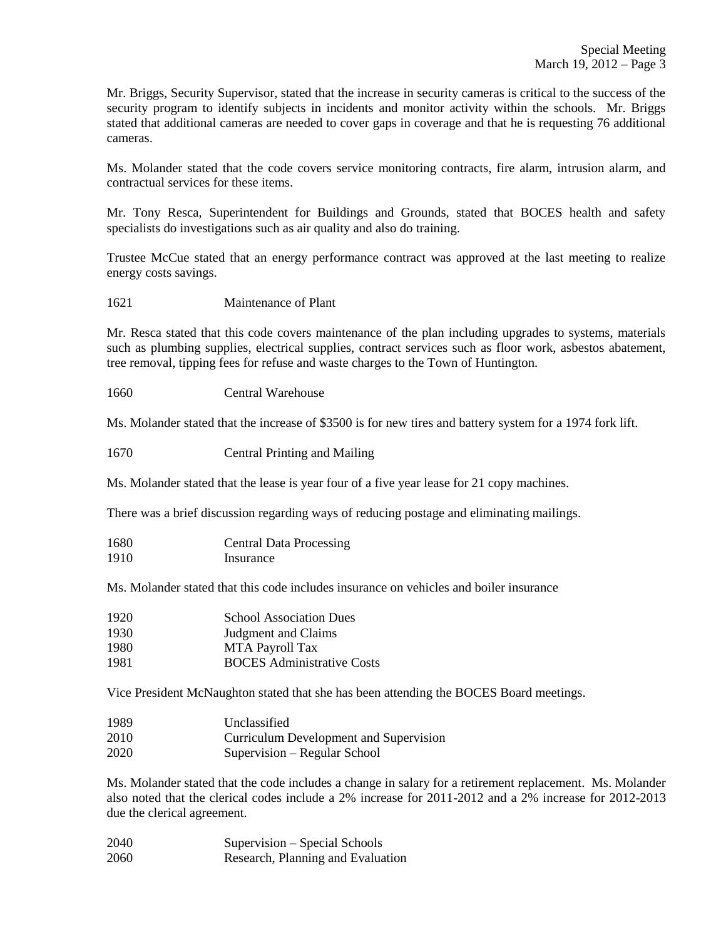Mr. Briggs, Security Supervisor, stated that the increase in security cameras is critical to the success of the security program to identify subjects in incidents and monitor activity within the schools. Mr. Briggs stated that additional cameras are needed to cover gaps in coverage and that he is requesting 76 additional cameras.

Ms. Molander stated that the code covers service monitoring contracts, fire alarm, intrusion alarm, and contractual services for these items.

Mr. Tony Resca, Superintendent for Buildings and Grounds, stated that BOCES health and safety specialists do investigations such as air quality and also do training.

Trustee McCue stated that an energy performance contract was approved at the last meeting to realize energy costs savings.

1621 Maintenance of Plant

Mr. Resca stated that this code covers maintenance of the plan including upgrades to systems, materials such as plumbing supplies, electrical supplies, contract services such as floor work, asbestos abatement, tree removal, tipping fees for refuse and waste charges to the Town of Huntington.

1660 Central Warehouse

Ms. Molander stated that the increase of \$3500 is for new tires and battery system for a 1974 fork lift.

1670 Central Printing and Mailing

Ms. Molander stated that the lease is year four of a five year lease for 21 copy machines.

There was a brief discussion regarding ways of reducing postage and eliminating mailings.

| 1680 | <b>Central Data Processing</b> |
|------|--------------------------------|
| 1910 | Insurance                      |

Ms. Molander stated that this code includes insurance on vehicles and boiler insurance

| 1920 | <b>School Association Dues</b>    |
|------|-----------------------------------|
| 1930 | Judgment and Claims               |
| 1980 | MTA Payroll Tax                   |
| 1981 | <b>BOCES</b> Administrative Costs |

Vice President McNaughton stated that she has been attending the BOCES Board meetings.

| 1989 | Unclassified                           |
|------|----------------------------------------|
| 2010 | Curriculum Development and Supervision |
| 2020 | Supervision – Regular School           |

Ms. Molander stated that the code includes a change in salary for a retirement replacement. Ms. Molander also noted that the clerical codes include a 2% increase for 2011-2012 and a 2% increase for 2012-2013 due the clerical agreement.

| 2040 | Supervision – Special Schools     |
|------|-----------------------------------|
| 2060 | Research, Planning and Evaluation |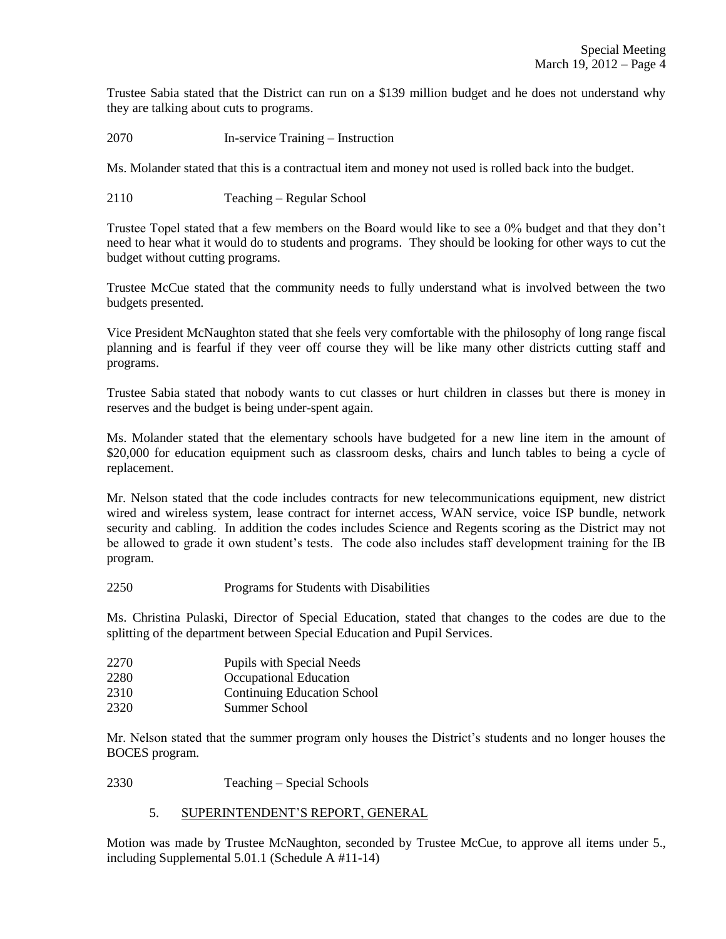Trustee Sabia stated that the District can run on a \$139 million budget and he does not understand why they are talking about cuts to programs.

2070 In-service Training – Instruction

Ms. Molander stated that this is a contractual item and money not used is rolled back into the budget.

2110 Teaching – Regular School

Trustee Topel stated that a few members on the Board would like to see a 0% budget and that they don't need to hear what it would do to students and programs. They should be looking for other ways to cut the budget without cutting programs.

Trustee McCue stated that the community needs to fully understand what is involved between the two budgets presented.

Vice President McNaughton stated that she feels very comfortable with the philosophy of long range fiscal planning and is fearful if they veer off course they will be like many other districts cutting staff and programs.

Trustee Sabia stated that nobody wants to cut classes or hurt children in classes but there is money in reserves and the budget is being under-spent again.

Ms. Molander stated that the elementary schools have budgeted for a new line item in the amount of \$20,000 for education equipment such as classroom desks, chairs and lunch tables to being a cycle of replacement.

Mr. Nelson stated that the code includes contracts for new telecommunications equipment, new district wired and wireless system, lease contract for internet access, WAN service, voice ISP bundle, network security and cabling. In addition the codes includes Science and Regents scoring as the District may not be allowed to grade it own student's tests. The code also includes staff development training for the IB program.

2250 Programs for Students with Disabilities

Ms. Christina Pulaski, Director of Special Education, stated that changes to the codes are due to the splitting of the department between Special Education and Pupil Services.

- 2270 Pupils with Special Needs
- 2280 Occupational Education
- 2310 Continuing Education School
- 2320 Summer School

Mr. Nelson stated that the summer program only houses the District's students and no longer houses the BOCES program.

2330 Teaching – Special Schools

## 5. SUPERINTENDENT'S REPORT, GENERAL

Motion was made by Trustee McNaughton, seconded by Trustee McCue, to approve all items under 5., including Supplemental 5.01.1 (Schedule A #11-14)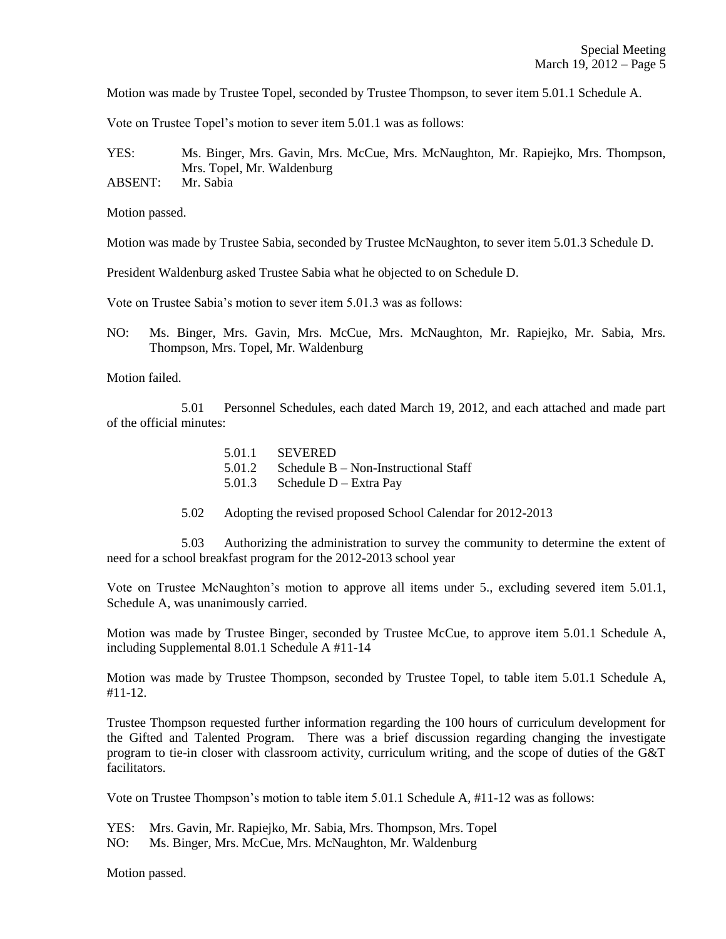Motion was made by Trustee Topel, seconded by Trustee Thompson, to sever item 5.01.1 Schedule A.

Vote on Trustee Topel's motion to sever item 5.01.1 was as follows:

YES: Ms. Binger, Mrs. Gavin, Mrs. McCue, Mrs. McNaughton, Mr. Rapiejko, Mrs. Thompson, Mrs. Topel, Mr. Waldenburg

ABSENT: Mr. Sabia

Motion passed.

Motion was made by Trustee Sabia, seconded by Trustee McNaughton, to sever item 5.01.3 Schedule D.

President Waldenburg asked Trustee Sabia what he objected to on Schedule D.

Vote on Trustee Sabia's motion to sever item 5.01.3 was as follows:

NO: Ms. Binger, Mrs. Gavin, Mrs. McCue, Mrs. McNaughton, Mr. Rapiejko, Mr. Sabia, Mrs. Thompson, Mrs. Topel, Mr. Waldenburg

Motion failed.

5.01 Personnel Schedules, each dated March 19, 2012, and each attached and made part of the official minutes:

| 5.01.1 SEVERED                              |
|---------------------------------------------|
| 5.01.2 Schedule B – Non-Instructional Staff |
| 5.01.3 Schedule D – Extra Pay               |

5.02 Adopting the revised proposed School Calendar for 2012-2013

5.03 Authorizing the administration to survey the community to determine the extent of need for a school breakfast program for the 2012-2013 school year

Vote on Trustee McNaughton's motion to approve all items under 5., excluding severed item 5.01.1, Schedule A, was unanimously carried.

Motion was made by Trustee Binger, seconded by Trustee McCue, to approve item 5.01.1 Schedule A, including Supplemental 8.01.1 Schedule A #11-14

Motion was made by Trustee Thompson, seconded by Trustee Topel, to table item 5.01.1 Schedule A, #11-12.

Trustee Thompson requested further information regarding the 100 hours of curriculum development for the Gifted and Talented Program. There was a brief discussion regarding changing the investigate program to tie-in closer with classroom activity, curriculum writing, and the scope of duties of the G&T facilitators.

Vote on Trustee Thompson's motion to table item 5.01.1 Schedule A, #11-12 was as follows:

YES: Mrs. Gavin, Mr. Rapiejko, Mr. Sabia, Mrs. Thompson, Mrs. Topel

NO: Ms. Binger, Mrs. McCue, Mrs. McNaughton, Mr. Waldenburg

Motion passed.